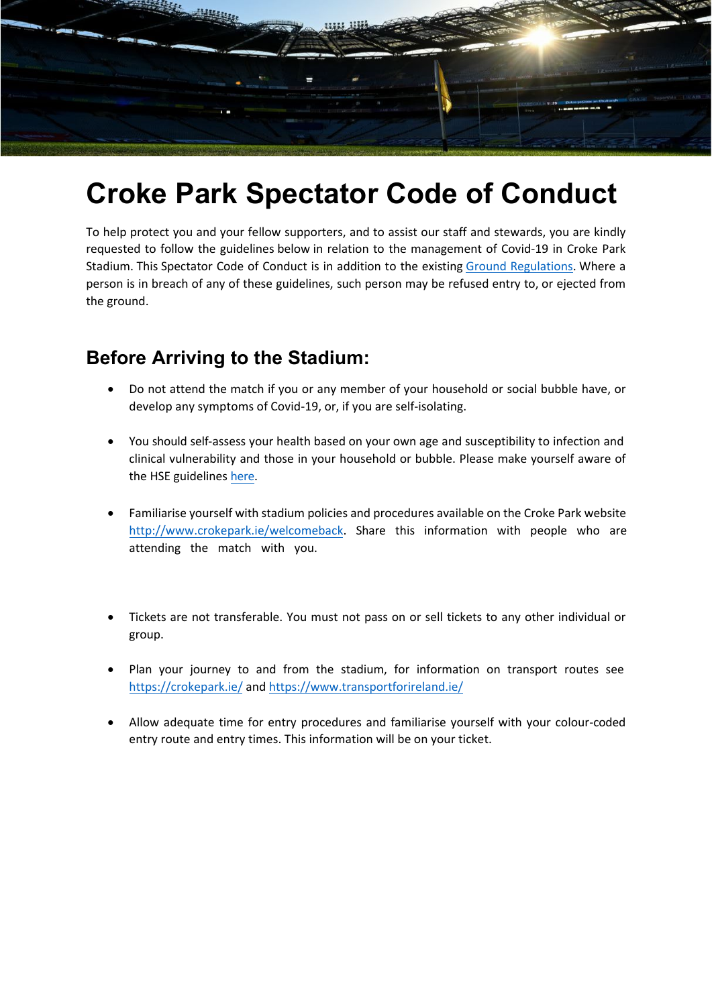

## **Croke Park Spectator Code of Conduct**

To help protect you and your fellow supporters, and to assist our staff and stewards, you are kindly requested to follow the guidelines below in relation to the management of Covid-19 in Croke Park Stadium. This Spectator Code of Conduct is in addition to the existing [Ground Regulations.](https://crokepark.ie/stadium/health-safety) Where a person is in breach of any of these guidelines, such person may be refused entry to, or ejected from the ground.

## **Before Arriving to the Stadium:**

- Do not attend the match if you or any member of your household or social bubble have, or develop any symptoms of Covid-19, or, if you are self-isolating.
- You should self-assess your health based on your own age and susceptibility to infection and clinical vulnerability and those in your household or bubble. Please make yourself aware of the HSE guidelines [here.](https://www2.hse.ie/coronavirus/)
- Familiarise yourself with stadium policies and procedures available on the Croke Park website http://www.crokepark.ie/welcomeback. Share this information with people who are attending the match with you.
- Tickets are not transferable. You must not pass on or sell tickets to any other individual or group.
- Plan your journey to and from the stadium, for information on transport routes see <https://crokepark.ie/> and <https://www.transportforireland.ie/>
- Allow adequate time for entry procedures and familiarise yourself with your colour-coded entry route and entry times. This information will be on your ticket.